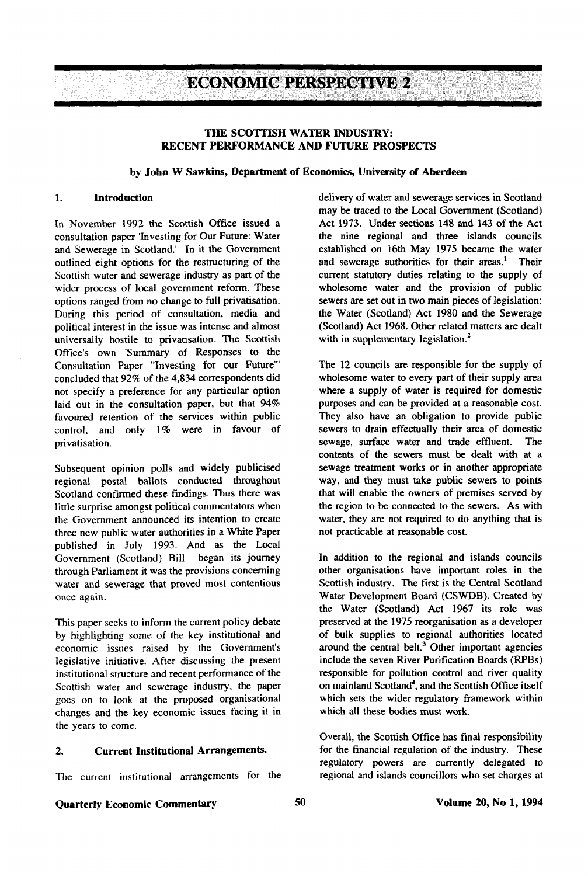**ECONOMIC PERSPECTIVE 2** 

## **THE SCOTTISH WATER INDUSTRY: RECENT PERFORMANCE AND FUTURE PROSPECTS**

#### **by John W Sawkins, Department of Economics, University of Aberdeen**

In November 1992 the Scottish Office issued a consultation paper 'Investing for Our Future: Water and Sewerage in Scotland.' In it the Government outlined eight options for the restructuring of the Scottish water and sewerage industry as part of the wider process of local government reform. These options ranged from no change to full privatisation. During this period of consultation, media and political interest in the issue was intense and almost universally hostile to privatisation. The Scottish Office's own 'Summary of Responses to the Consultation Paper "Investing for our Future'" concluded that 92% of the 4,834 correspondents did not specify a preference for any particular option laid out in the consultation paper, but that 94% favoured retention of the services within public control, and only 1% were in favour of privatisation.

Subsequent opinion polls and widely publicised regional postal ballots conducted throughout Scotland confirmed these findings. Thus there was little surprise amongst political commentators when the Government announced its intention to create three new public water authorities in a White Paper published in July 1993. And as the Local Government (Scotland) Bill began its journey through Parliament it was the provisions concerning water and sewerage that proved most contentious once again.

This paper seeks to inform the current policy debate by highlighting some of the key institutional and economic issues raised by the Government's legislative initiative. After discussing the present institutional structure and recent performance of the Scottish water and sewerage industry, the paper goes on to look at the proposed organisational changes and the key economic issues facing it in the years to come.

#### **2. Current Institutional Arrangements.**

The current institutional arrangements for the

**1. Introduction** delivery of water and sewerage services in Scotland may be traced to the Local Government (Scotland) Act 1973. Under sections 148 and 143 of the Act the nine regional and three islands councils established on 16th May 1975 became the water and sewerage authorities for their areas.<sup>1</sup> Their current statutory duties relating to the supply of wholesome water and the provision of public sewers are set out in two main pieces of legislation: the Water (Scotland) Act 1980 and the Sewerage (Scotland) Act 1968. Other related matters are dealt with in supplementary legislation.<sup>2</sup>

> The 12 councils are responsible for the supply of wholesome water to every part of their supply area where a supply of water is required for domestic purposes and can be provided at a reasonable cost. They also have an obligation to provide public sewers to drain effectually their area of domestic sewage, surface water and trade effluent. The contents of the sewers must be dealt with at a sewage treatment works or in another appropriate way, and they must take public sewers to points that will enable the owners of premises served by the region to be connected to the sewers. As with water, they are not required to do anything that is not practicable at reasonable cost.

> In addition to the regional and islands councils other organisations have important roles in the Scottish industry. The first is the Central Scotland Water Development Board (CSWDB). Created by the Water (Scotland) Act 1967 its role was preserved at the 1975 reorganisation as a developer of bulk supplies to regional authorities located around the central belt.<sup>3</sup> Other important agencies include the seven River Purification Boards (RPBs) responsible for pollution control and river quality on mainland Scotland<sup>4</sup>, and the Scottish Office itself which sets the wider regulatory framework within which all these bodies must work.

> Overall, the Scottish Office has final responsibility for the financial regulation of the industry. These regulatory powers are currently delegated to regional and islands councillors who set charges at

# Quarterly Economic Commentary 50 50 Volume 20, No 1, 1994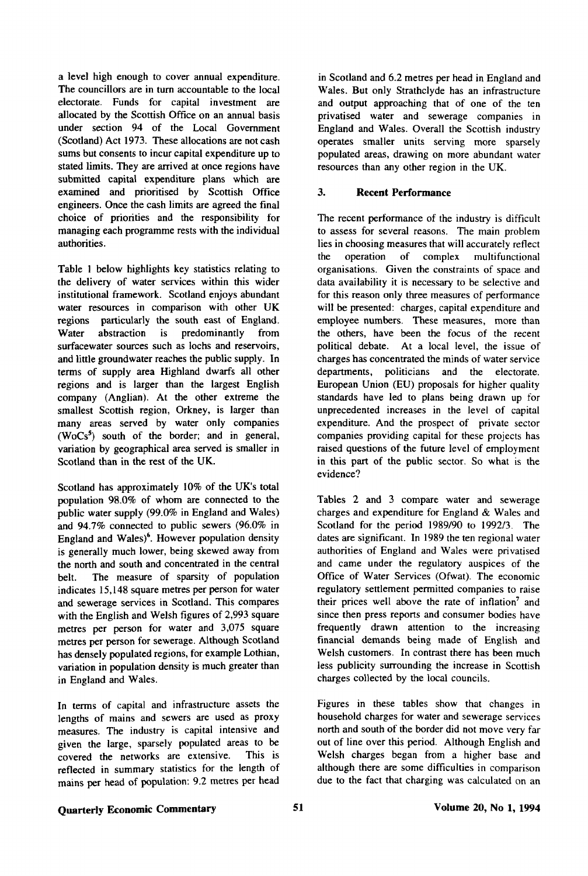a level high enough to cover annual expenditure. The councillors are in turn accountable to the local electorate. Funds for capital investment are allocated by the Scottish Office on an annual basis under section 94 of the Local Government (Scotland) Act 1973. These allocations are not cash sums but consents to incur capital expenditure up to stated limits. They are arrived at once regions have submitted capital expenditure plans which are examined and prioritised by Scottish Office engineers. Once the cash limits are agreed the final choice of priorities and the responsibility for managing each programme rests with the individual authorities.

Table 1 below highlights key statistics relating to the delivery of water services within this wider institutional framework. Scotland enjoys abundant water resources in comparison with other UK regions particularly the south east of England. Water abstraction is predominantly from surfacewater sources such as lochs and reservoirs, and little groundwater reaches the public supply. In terms of supply area Highland dwarfs all other regions and is larger than the largest English company (Anglian). At the other extreme the smallest Scottish region, Orkney, is larger than many areas served by water only companies  $(WoCs<sup>5</sup>)$  south of the border; and in general, variation by geographical area served is smaller in Scotland than in the rest of the UK.

Scotland has approximately 10% of the UK's total population 98.0% of whom are connected to the public water supply (99.0% in England and Wales) and 94.7% connected to public sewers (96.0% in England and Wales)<sup>6</sup>. However population density is generally much lower, being skewed away from the north and south and concentrated in the central belt. The measure of sparsity of population indicates 15,148 square metres per person for water and sewerage services in Scotland. This compares with the English and Welsh figures of 2,993 square metres per person for water and 3,075 square metres per person for sewerage. Although Scotland has densely populated regions, for example Lothian, variation in population density is much greater than in England and Wales.

In terms of capital and infrastructure assets the lengths of mains and sewers are used as proxy measures. The industry is capital intensive and given the large, sparsely populated areas to be covered the networks are extensive. This is reflected in summary statistics for the length of mains per head of population: 9.2 metres per head

in Scotland and 6.2 metres per head in England and Wales. But only Strathclyde has an infrastructure and output approaching that of one of the ten privatised water and sewerage companies in England and Wales. Overall the Scottish industry operates smaller units serving more sparsely populated areas, drawing on more abundant water resources than any other region in the UK.

# 3. **Recent Performance**

The recent performance of the industry is difficult to assess for several reasons. The main problem lies in choosing measures that will accurately reflect the operation of complex multifunctional organisations. Given the constraints of space and data availability it is necessary to be selective and for this reason only three measures of performance will be presented: charges, capital expenditure and employee numbers. These measures, more than the others, have been the focus of the recent political debate. At a local level, the issue of charges has concentrated the minds of water service departments, politicians and the electorate. European Union (EU) proposals for higher quality standards have led to plans being drawn up for unprecedented increases in the level of capital expenditure. And the prospect of private sector companies providing capital for these projects has raised questions of the future level of employment in this part of the public sector. So what is the evidence?

Tables 2 and 3 compare water and sewerage charges and expenditure for England & Wales and Scotland for the period 1989/90 to 1992/3. The dates are significant. In 1989 the ten regional water authorities of England and Wales were privatised and came under the regulatory auspices of the Office of Water Services (Ofwat). The economic regulatory settlement permitted companies to raise their prices well above the rate of inflation<sup>7</sup> and since then press reports and consumer bodies have frequently drawn attention to the increasing financial demands being made of English and Welsh customers. In contrast there has been much less publicity surrounding the increase in Scottish charges collected by the local councils.

Figures in these tables show that changes in household charges for water and sewerage services north and south of the border did not move very far out of line over this period. Although English and Welsh charges began from a higher base and although there are some difficulties in comparison due to the fact that charging was calculated on an

# **Quarterly Economic Commentary 51** 51 Volume 20, No 1, 1994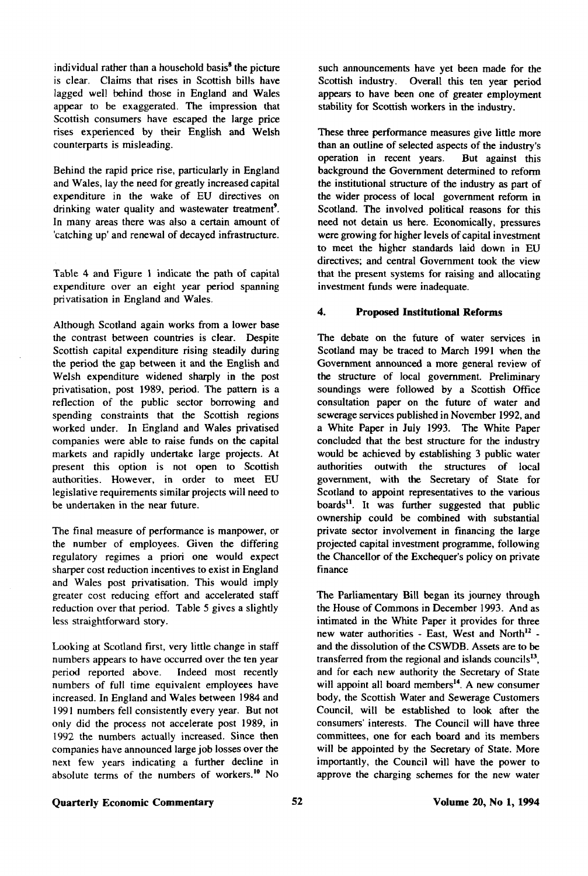individual rather than a household basis<sup>8</sup> the picture is clear. Claims that rises in Scottish bills have lagged well behind those in England and Wales appear to be exaggerated. The impression that Scottish consumers have escaped the large price rises experienced by their English and Welsh counterparts is misleading.

Behind the rapid price rise, particularly in England and Wales, lay the need for greatly increased capital expenditure in the wake of EU directives on drinking water quality and wastewater treatment'. In many areas there was also a certain amount of 'catching up' and renewal of decayed infrastructure.

Table 4 and Figure 1 indicate the path of capital expenditure over an eight year period spanning privatisation in England and Wales.

Although Scotland again works from a lower base the contrast between countries is clear. Despite Scottish capital expenditure rising steadily during the period the gap between it and the English and Welsh expenditure widened sharply in the post privatisation, post 1989, period. The pattern is a reflection of the public sector borrowing and spending constraints that the Scottish regions worked under. In England and Wales privatised companies were able to raise funds on the capital markets and rapidly undertake large projects. At present this option is not open to Scottish authorities. However, in order to meet EU legislative requirements similar projects will need to be undertaken in the near future.

The final measure of performance is manpower, or the number of employees. Given the differing regulatory regimes a priori one would expect sharper cost reduction incentives to exist in England and Wales post privatisation. This would imply greater cost reducing effort and accelerated staff reduction over that period. Table 5 gives a slightly less straightforward story.

Looking at Scotland first, very little change in staff numbers appears to have occurred over the ten year period reported above. Indeed most recently numbers of full time equivalent employees have increased. In England and Wales between 1984 and 1991 numbers fell consistently every year. But not only did the process not accelerate post 1989, in 1992 the numbers actually increased. Since then companies have announced large job losses over the next few years indicating a further decline in absolute terms of the numbers of workers.<sup>10</sup> No such announcements have yet been made for the Scottish industry. Overall this ten year period appears to have been one of greater employment stability for Scottish workers in the industry.

These three performance measures give little more than an outline of selected aspects of the industry's operation in recent years. But against this operation in recent years. background the Government determined to reform the institutional structure of the industry as part of the wider process of local government reform in Scotland. The involved political reasons for this need not detain us here. Economically, pressures were growing for higher levels of capital investment to meet the higher standards laid down in EU directives; and central Government took the view that the present systems for raising and allocating investment funds were inadequate.

## **4. Proposed Institutional Reforms**

The debate on the future of water services in Scotland may be traced to March 1991 when the Government announced a more general review of the structure of local government. Preliminary soundings were followed by a Scottish Office consultation paper on the future of water and sewerage services published in November 1992, and a White Paper in July 1993. The White Paper concluded that the best structure for the industry would be achieved by establishing 3 public water authorities outwith the structures of local government, with the Secretary of State for Scotland to appoint representatives to the various boards<sup>11</sup>. It was further suggested that public ownership could be combined with substantial private sector involvement in financing the large projected capital investment programme, following the Chancellor of the Exchequer's policy on private finance

The Parliamentary Bill began its journey through the House of Commons in December 1993. And as intimated in the White Paper it provides for three new water authorities - East, West and North<sup>12</sup> and the dissolution of the CSWDB. Assets are to be transferred from the regional and islands councils<sup>13</sup>, and for each new authority the Secretary of State will appoint all board members<sup>14</sup>. A new consumer body, the Scottish Water and Sewerage Customers Council, will be established to look after the consumers' interests. The Council will have three committees, one for each board and its members will be appointed by the Secretary of State. More importantly, the Council will have the power to approve the charging schemes for the new water

# **Quarterly Economic Commentary**  52 **Volume 20, No 1, 1994**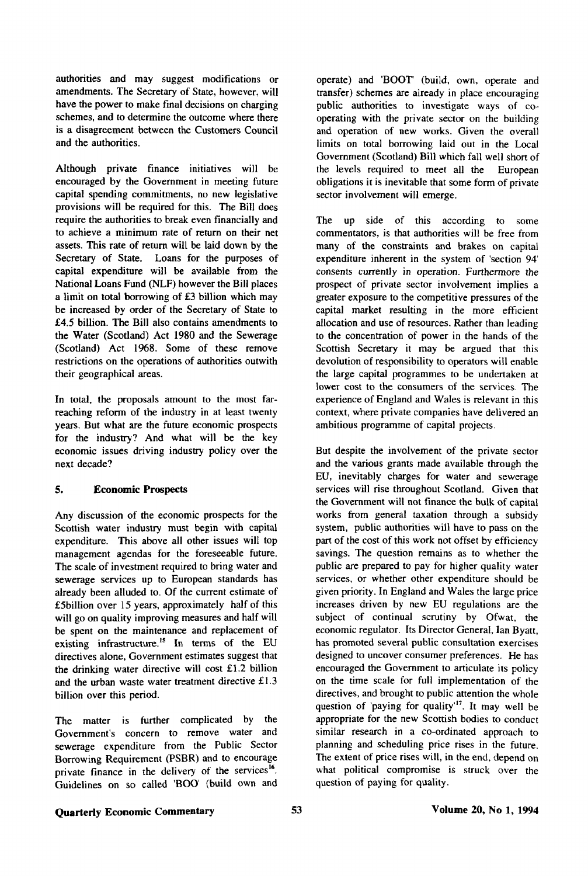authorities and may suggest modifications or amendments. The Secretary of State, however, will have the power to make final decisions on charging schemes, and to determine the outcome where there is a disagreement between the Customers Council and the authorities.

Although private finance initiatives will be encouraged by the Government in meeting future capital spending commitments, no new legislative provisions will be required for this. The Bill does require the authorities to break even financially and to achieve a minimum rate of return on their net assets. This rate of return will be laid down by the Secretary of State. Loans for the purposes of capital expenditure will be available from the National Loans Fund (NLF) however the Bill places a limit on total borrowing of £3 billion which may be increased by order of the Secretary of State to £4.5 billion. The Bill also contains amendments to the Water (Scotland) Act 1980 and the Sewerage (Scotland) Act 1968. Some of these remove restrictions on the operations of authorities outwith their geographical areas.

In total, the proposals amount to the most farreaching reform of the industry in at least twenty years. But what are the future economic prospects for the industry? And what will be the key economic issues driving industry policy over the next decade?

# **5. Economic Prospects**

Any discussion of the economic prospects for the Scottish water industry must begin with capital expenditure. This above all other issues will top management agendas for the foreseeable future. The scale of investment required to bring water and sewerage services up to European standards has already been alluded to. Of the current estimate of £5billion over 15 years, approximately half of this will go on quality improving measures and half will be spent on the maintenance and replacement of existing infrastructure.<sup>15</sup> In terms of the EU directives alone, Government estimates suggest that the drinking water directive will cost £1.2 billion and the urban waste water treatment directive £1.3 billion over this period.

The matter is further complicated by the Government's concern to remove water and sewerage expenditure from the Public Sector Borrowing Requirement (PSBR) and to encourage private finance in the delivery of the services<sup>16</sup>. Guidelines on so called BOO' (build own and

operate) and 'BOOT' (build, own, operate and transfer) schemes are already in place encouraging public authorities to investigate ways of cooperating with the private sector on the building and operation of new works. Given the overall limits on total borrowing laid out in the Local Government (Scotland) Bill which fall well short of the levels required to meet all the European obligations it is inevitable that some form of private sector involvement will emerge.

The up side of this according to some commentators, is that authorities will be free from many of the constraints and brakes on capital expenditure inherent in the system of 'section 94' consents currently in operation. Furthermore the prospect of private sector involvement implies a greater exposure to the competitive pressures of the capital market resulting in the more efficient allocation and use of resources. Rather than leading to the concentration of power in the hands of the Scottish Secretary it may be argued that this devolution of responsibility to operators will enable the large capital programmes to be undertaken at lower cost to the consumers of the services. The experience of England and Wales is relevant in this context, where private companies have delivered an ambitious programme of capital projects.

But despite the involvement of the private sector and the various grants made available through the EU, inevitably charges for water and sewerage services will rise throughout Scotland. Given that the Government will not finance the bulk of capital works from general taxation through a subsidy system, public authorities will have to pass on the part of the cost of this work not offset by efficiency savings. The question remains as to whether the public are prepared to pay for higher quality water services, or whether other expenditure should be given priority. In England and Wales the large price increases driven by new EU regulations are the subject of continual scrutiny by Ofwat, the economic regulator. Its Director General, Ian Byatt, has promoted several public consultation exercises designed to uncover consumer preferences. He has encouraged the Government to articulate its policy on the time scale for full implementation of the directives, and brought to public attention the whole  $\alpha$  and  $\alpha$  and  $\alpha$  and  $\alpha$  pay in  $\alpha$  and  $\alpha$  and  $\alpha$  and  $\alpha$  and  $\alpha$  and  $\alpha$  and  $\alpha$  and  $\alpha$ appropriate for the new Scottish bodies to conduct similar research in a co-ordinated approach to planning and scheduling price rises in the future. The extent of price rises will, in the end, depend on what political compromise is struck over the question of paying for quality.

# **Quarterly Economic Commentary 53** 53 Volume 20, No 1, 1994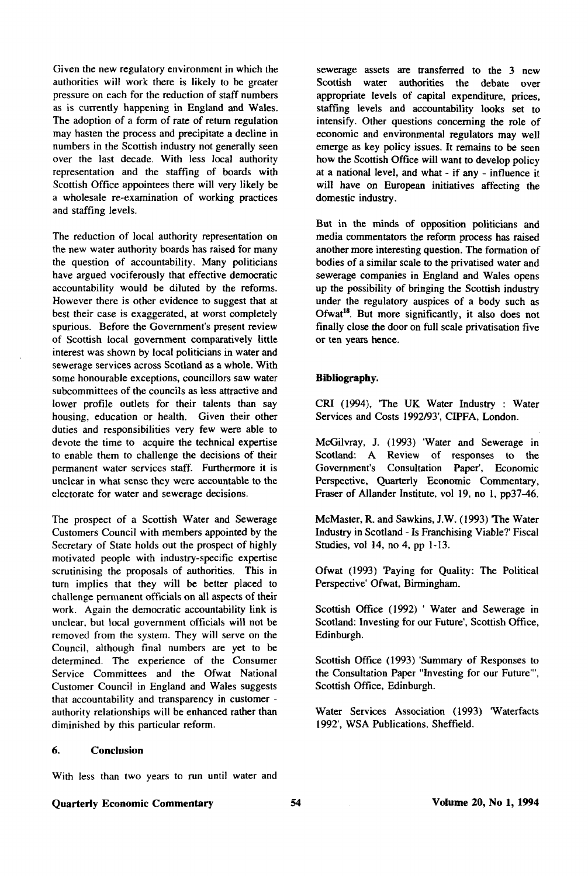Given the new regulatory environment in which the authorities will work there is likely to be greater pressure on each for the reduction of staff numbers as is currently happening in England and Wales. The adoption of a form of rate of return regulation may hasten the process and precipitate a decline in numbers in the Scottish industry not generally seen over the last decade. With less local authority representation and the staffing of boards with Scottish Office appointees there will very likely be a wholesale re-examination of working practices and staffing levels.

The reduction of local authority representation on the new water authority boards has raised for many the question of accountability. Many politicians have argued vociferously that effective democratic accountability would be diluted by the reforms. However there is other evidence to suggest that at best their case is exaggerated, at worst completely spurious. Before the Government's present review of Scottish local government comparatively little interest was shown by local politicians in water and sewerage services across Scotland as a whole. With some honourable exceptions, councillors saw water subcommittees of the councils as less attractive and lower profile outlets for their talents than say housing, education or health. Given their other duties and responsibilities very few were able to devote the time to acquire the technical expertise to enable them to challenge the decisions of their permanent water services staff. Furthermore it is unclear in what sense they were accountable to the electorate for water and sewerage decisions.

The prospect of a Scottish Water and Sewerage Customers Council with members appointed by the Secretary of State holds out the prospect of highly motivated people with industry-specific expertise scrutinising the proposals of authorities. This in turn implies that they will be better placed to challenge permanent officials on all aspects of their work. Again the democratic accountability link is unclear, but local government officials will not be removed from the system. They will serve on the Council, although final numbers are yet to be determined. The experience of the Consumer Service Committees and the Ofwat National Customer Council in England and Wales suggests that accountability and transparency in customer authority relationships will be enhanced rather than diminished by this particular reform.

6. **Conclusion** 

With less than two years to run until water and

sewerage assets are transferred to the 3 new Scottish water authorities the debate over appropriate levels of capital expenditure, prices, staffing levels and accountability looks set to intensify. Other questions concerning the role of economic and environmental regulators may well emerge as key policy issues. It remains to be seen how the Scottish Office will want to develop policy at a national level, and what - if any - influence it will have on European initiatives affecting the domestic industry.

But in the minds of opposition politicians and media commentators the reform process has raised another more interesting question. The formation of bodies of a similar scale to the privatised water and sewerage companies in England and Wales opens up the possibility of bringing the Scottish industry under the regulatory auspices of a body such as Ofwat<sup>18</sup>. But more significantly, it also does not finally close the door on full scale privatisation five or ten years hence.

#### **Bibliography.**

CRI (1994), 'The UK Water Industry : Water Services and Costs 1992/93', CIPFA, London.

McGilvray, J. (1993) 'Water and Sewerage in Scotland: A Review of responses to the Government's Consultation Paper', Economic Perspective, Quarterly Economic Commentary, Fraser of Allander Institute, vol 19, no 1, pp37-46.

McMaster, R. and Sawkins, J.W. (1993) 'The Water Industry in Scotland - Is Franchising Viable?' Fiscal Studies, vol 14, no 4, pp 1-13.

Ofwat (1993) 'Paying for Quality: The Political Perspective' Ofwat, Birmingham.

Scottish Office (1992) ' Water and Sewerage in Scotland: Investing for our Future', Scottish Office, Edinburgh.

Scottish Office (1993) 'Summary of Responses to the Consultation Paper "Investing for our Future'", Scottish Office, Edinburgh.

Water Services Association (1993) 'Waterfacts 1992', WSA Publications, Sheffield.

#### **Quarterly Economic Commentary**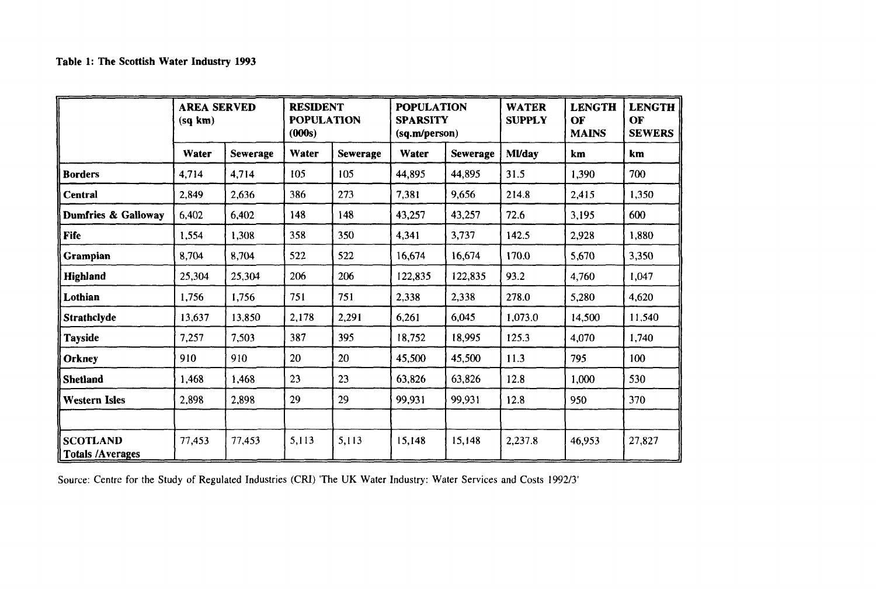|                                            | <b>AREA SERVED</b><br>(sq km) |          | <b>RESIDENT</b><br><b>POPULATION</b><br>(000s) |                 | <b>POPULATION</b><br><b>SPARSITY</b><br>(sq.m/person) |                 | <b>WATER</b><br><b>SUPPLY</b> | <b>LENGTH</b><br>OF<br><b>MAINS</b> | <b>LENGTH</b><br>OF<br><b>SEWERS</b> |
|--------------------------------------------|-------------------------------|----------|------------------------------------------------|-----------------|-------------------------------------------------------|-----------------|-------------------------------|-------------------------------------|--------------------------------------|
|                                            | Water                         | Sewerage | Water                                          | <b>Sewerage</b> | Water                                                 | <b>Sewerage</b> | <b>MVday</b>                  | km                                  | km.                                  |
| <b>Borders</b>                             | 4,714                         | 4,714    | 105                                            | 105             | 44,895                                                | 44,895          | 31.5                          | 1,390                               | 700                                  |
| Central                                    | 2,849                         | 2,636    | 386                                            | 273             | 7,381                                                 | 9,656           | 214.8                         | 2,415                               | 1,350                                |
| Dumfries & Galloway                        | 6,402                         | 6,402    | 148                                            | 148             | 43,257                                                | 43,257          | 72.6                          | 3,195                               | 600                                  |
| <b>Fife</b>                                | 1,554                         | 1,308    | 358                                            | 350             | 4,341                                                 | 3,737           | 142.5                         | 2,928                               | 1,880                                |
| Grampian                                   | 8,704                         | 8,704    | 522                                            | 522             | 16,674                                                | 16,674          | 170.0                         | 5,670                               | 3,350                                |
| <b>Highland</b>                            | 25,304                        | 25,304   | 206                                            | 206             | 122,835                                               | 122,835         | 93.2                          | 4,760                               | 1,047                                |
| Lothian                                    | 1,756                         | 1,756    | 751                                            | 751             | 2,338                                                 | 2,338           | 278.0                         | 5,280                               | 4,620                                |
| Strathclyde                                | 13.637                        | 13.850   | 2,178                                          | 2,291           | 6,261                                                 | 6,045           | 1,073.0                       | 14,500                              | 11,540                               |
| <b>Tayside</b>                             | 7,257                         | 7,503    | 387                                            | 395             | 18,752                                                | 18,995          | 125.3                         | 4,070                               | 1,740                                |
| Orkney                                     | 910                           | 910      | 20                                             | 20              | 45,500                                                | 45,500          | 11.3                          | 795                                 | 100                                  |
| Shetland                                   | 1,468                         | 1,468    | 23                                             | 23              | 63,826                                                | 63,826          | 12.8                          | 1,000                               | 530                                  |
| <b>Western Isles</b>                       | 2,898                         | 2,898    | 29                                             | 29              | 99.931                                                | 99.931          | 12.8                          | 950                                 | 370                                  |
|                                            |                               |          |                                                |                 |                                                       |                 |                               |                                     |                                      |
| <b>SCOTLAND</b><br><b>Totals /Averages</b> | 77,453                        | 77,453   | 5,113                                          | 5,113           | 15,148                                                | 15,148          | 2,237.8                       | 46,953                              | 27,827                               |

Source: Centre for the Study of Regulated Industries (CRI) The UK Water Industry: Water Services and Costs 1992/3'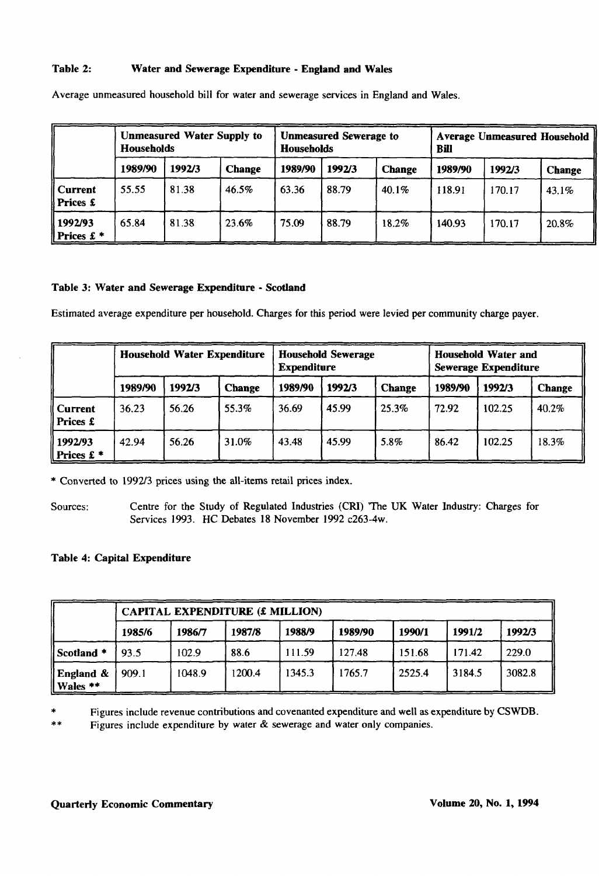# **Table 2: Water and Sewerage Expenditure - England and Wales**

|                                  | <b>Unmeasured Water Supply to</b><br><b>Households</b> |        |               | <b>Households</b> | <b>Unmeasured Sewerage to</b> |               | <b>Average Unmeasured Household</b><br>Bill |        |               |  |
|----------------------------------|--------------------------------------------------------|--------|---------------|-------------------|-------------------------------|---------------|---------------------------------------------|--------|---------------|--|
|                                  | 1989/90                                                | 1992/3 | <b>Change</b> | 1989/90           | 1992/3                        | <b>Change</b> | 1989/90                                     | 1992/3 | <b>Change</b> |  |
| Current<br>   Prices £           | 55.55                                                  | 81.38  | 46.5%         | 63.36             | 88.79                         | 40.1%         | 118.91                                      | 170.17 | 43.1%         |  |
| 1992/93<br>   Prices $\pounds$ * | 65.84                                                  | 81.38  | 23.6%         | 75.09             | 88.79                         | 18.2%         | 140.93                                      | 170.17 | 20.8%         |  |

Average unmeasured household bill for water and sewerage services in England and Wales.

## **Table 3: Water and Sewerage Expenditure - Scotland**

Estimated average expenditure per household. Charges for this period were levied per community charge payer.

|                                  | <b>Household Water Expenditure</b> |        |               |         | <b>Household Sewerage</b><br><b>Expenditure</b> |       |         | <b>Household Water and</b><br><b>Sewerage Expenditure</b> |               |  |
|----------------------------------|------------------------------------|--------|---------------|---------|-------------------------------------------------|-------|---------|-----------------------------------------------------------|---------------|--|
|                                  | 1989/90                            | 1992/3 | <b>Change</b> | 1989/90 | 1992/3<br><b>Change</b>                         |       | 1989/90 | 1992/3                                                    | <b>Change</b> |  |
| Current<br>   Prices £           | 36.23                              | 56.26  | 55.3%         | 36.69   | 45.99                                           | 25.3% | 72.92   | 102.25                                                    | 40.2%         |  |
| 1992/93<br>   Prices $\pounds$ * | 42.94                              | 56.26  | 31.0%         | 43.48   | 45.99                                           | 5.8%  | 86.42   | 102.25                                                    | 18.3%         |  |

\* Converted to 1992/3 prices using the all-items retail prices index.

Sources: Centre for the Study of Regulated Industries (CRI) 'The UK Water Industry: Charges for Services 1993. HC Debates 18 November 1992 c263-4w.

# **Table 4: Capital Expenditure**

|                          | <b>CAPITAL EXPENDITURE (£ MILLION)</b> |        |        |        |         |        |        |        |  |  |  |
|--------------------------|----------------------------------------|--------|--------|--------|---------|--------|--------|--------|--|--|--|
|                          | 1985/6                                 | 1986/7 | 1987/8 | 1988/9 | 1989/90 | 1990/1 | 1991/2 | 1992/3 |  |  |  |
| Scotland *               | 93.5                                   | 102.9  | 88.6   | 111.59 | 127.48  | 151.68 | 171.42 | 229.0  |  |  |  |
| England $\&$<br>Wales ** | 909.1                                  | 1048.9 | 1200.4 | 1345.3 | 1765.7  | 2525.4 | 3184.5 | 3082.8 |  |  |  |

Figures include revenue contributions and covenanted expenditure and well as expenditure by CSWDB.

Figures include expenditure by water & sewerage and water only companies.  $**$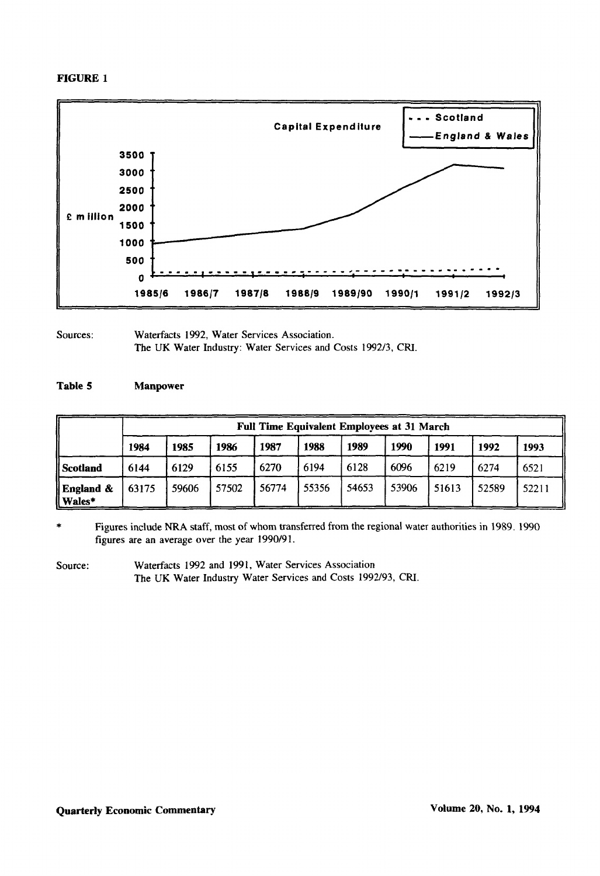# **FIGURE 1**



Sources: Waterfacts 1992, Water Services Association. The UK Water Industry: Water Services and Costs 1992/3, CRI.

## **Table 5 Manpower**

|                        | <b>Full Time Equivalent Employees at 31 March</b> |       |       |       |       |       |       |       |       |       |
|------------------------|---------------------------------------------------|-------|-------|-------|-------|-------|-------|-------|-------|-------|
|                        | 1984                                              | 1985  | 1986  | 1987  | 1988  | 1989  | 1990  | 1991  | 1992  | 1993  |
| Scotland               | 6144                                              | 6129  | 6155  | 6270  | 6194  | 6128  | 6096  | 6219  | 6274  | 6521  |
| England &<br>ll Wales* | 63175                                             | 59606 | 57502 | 56774 | 55356 | 54653 | 53906 | 51613 | 52589 | 52211 |

Figures include NRA staff, most of whom transferred from the regional water authorities in 1989. 1990 figures are an average over the year 1990/91.

Source: Waterfacts 1992 and 1991, Water Services Association The UK Water Industry Water Services and Costs 1992/93, CRI.